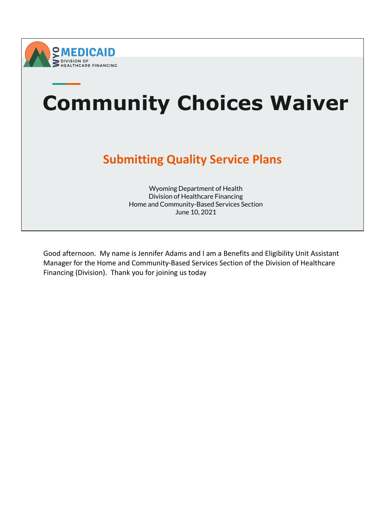



Good afternoon. My name is Jennifer Adams and I am a Benefits and Eligibility Unit Assistant Manager for the Home and Community-Based Services Section of the Division of Healthcare Financing (Division). Thank you for joining us today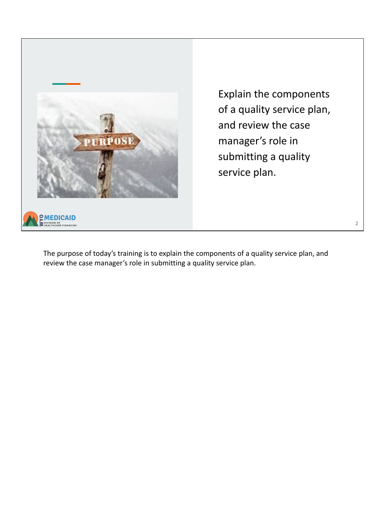

Explain the components of a quality service plan, and review the case manager's role in submitting a quality service plan.

The purpose of today's training is to explain the components of a quality service plan, and review the case manager's role in submitting a quality service plan.

2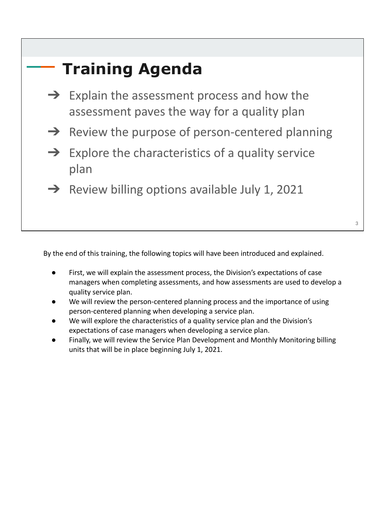### **Training Agenda**

- $\rightarrow$  Explain the assessment process and how the assessment paves the way for a quality plan
- $\rightarrow$  Review the purpose of person-centered planning
- $\rightarrow$  Explore the characteristics of a quality service plan
- → Review billing options available July 1, 2021

By the end of this training, the following topics will have been introduced and explained.

- First, we will explain the assessment process, the Division's expectations of case managers when completing assessments, and how assessments are used to develop a quality service plan.
- We will review the person-centered planning process and the importance of using person-centered planning when developing a service plan.
- We will explore the characteristics of a quality service plan and the Division's expectations of case managers when developing a service plan.
- Finally, we will review the Service Plan Development and Monthly Monitoring billing units that will be in place beginning July 1, 2021.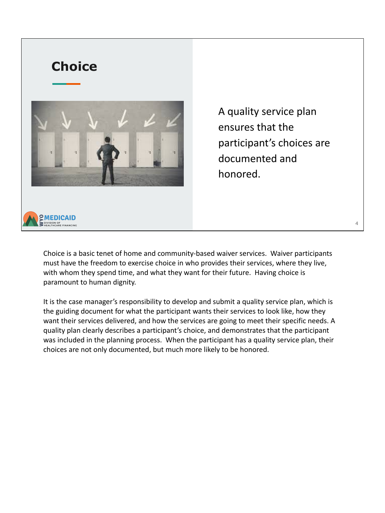

A quality service plan ensures that the participant's choices are documented and honored.

4

Choice is a basic tenet of home and community-based waiver services. Waiver participants must have the freedom to exercise choice in who provides their services, where they live, with whom they spend time, and what they want for their future. Having choice is paramount to human dignity.

It is the case manager's responsibility to develop and submit a quality service plan, which is the guiding document for what the participant wants their services to look like, how they want their services delivered, and how the services are going to meet their specific needs. A quality plan clearly describes a participant's choice, and demonstrates that the participant was included in the planning process. When the participant has a quality service plan, their choices are not only documented, but much more likely to be honored.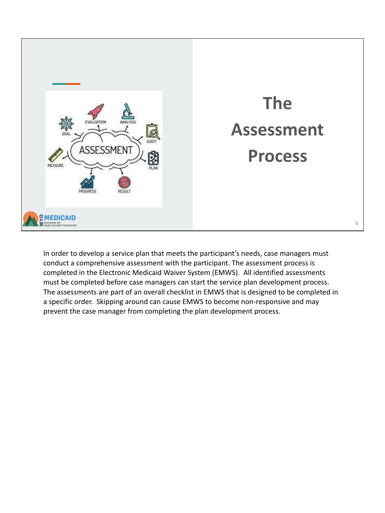

In order to develop a service plan that meets the participant's needs, case managers must conduct a comprehensive assessment with the participant. The assessment process is completed in the Electronic Medicaid Waiver System (EMWS). All identified assessments must be completed before case managers can start the service plan development process. The assessments are part of an overall checklist in EMWS that is designed to be completed in a specific order. Skipping around can cause EMWS to become non-responsive and may prevent the case manager from completing the plan development process.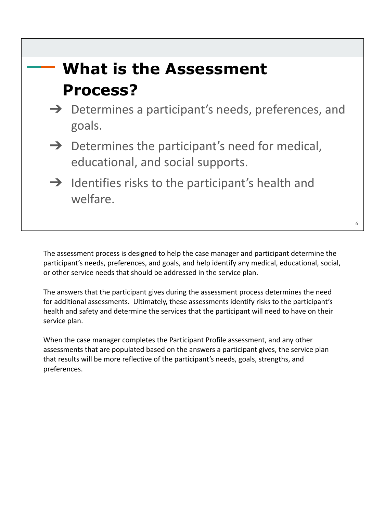### **What is the Assessment Process?**

- $\rightarrow$  Determines a participant's needs, preferences, and goals.
- $\rightarrow$  Determines the participant's need for medical, educational, and social supports.
- $\rightarrow$  Identifies risks to the participant's health and welfare.

The assessment process is designed to help the case manager and participant determine the participant's needs, preferences, and goals, and help identify any medical, educational, social, or other service needs that should be addressed in the service plan.

The answers that the participant gives during the assessment process determines the need for additional assessments. Ultimately, these assessments identify risks to the participant's health and safety and determine the services that the participant will need to have on their service plan.

When the case manager completes the Participant Profile assessment, and any other assessments that are populated based on the answers a participant gives, the service plan that results will be more reflective of the participant's needs, goals, strengths, and preferences.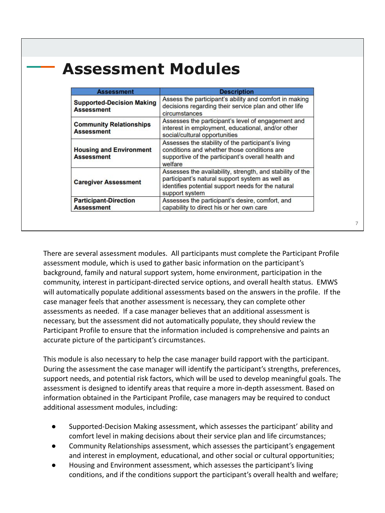| <b>Assessment</b>                                     | <b>Description</b>                                                                                                                                                                   |
|-------------------------------------------------------|--------------------------------------------------------------------------------------------------------------------------------------------------------------------------------------|
| <b>Supported-Decision Making</b><br><b>Assessment</b> | Assess the participant's ability and comfort in making<br>decisions regarding their service plan and other life<br>circumstances                                                     |
| <b>Community Relationships</b><br><b>Assessment</b>   | Assesses the participant's level of engagement and<br>interest in employment, educational, and/or other<br>social/cultural opportunities                                             |
| <b>Housing and Environment</b><br><b>Assessment</b>   | Assesses the stability of the participant's living<br>conditions and whether those conditions are<br>supportive of the participant's overall health and<br>welfare                   |
| <b>Caregiver Assessment</b>                           | Assesses the availability, strength, and stability of the<br>participant's natural support system as well as<br>identifies potential support needs for the natural<br>support system |
| <b>Participant-Direction</b><br><b>Assessment</b>     | Assesses the participant's desire, comfort, and<br>capability to direct his or her own care                                                                                          |

There are several assessment modules. All participants must complete the Participant Profile assessment module, which is used to gather basic information on the participant's background, family and natural support system, home environment, participation in the community, interest in participant-directed service options, and overall health status. EMWS will automatically populate additional assessments based on the answers in the profile. If the case manager feels that another assessment is necessary, they can complete other assessments as needed. If a case manager believes that an additional assessment is necessary, but the assessment did not automatically populate, they should review the Participant Profile to ensure that the information included is comprehensive and paints an accurate picture of the participant's circumstances.

This module is also necessary to help the case manager build rapport with the participant. During the assessment the case manager will identify the participant's strengths, preferences, support needs, and potential risk factors, which will be used to develop meaningful goals. The assessment is designed to identify areas that require a more in-depth assessment. Based on information obtained in the Participant Profile, case managers may be required to conduct additional assessment modules, including:

- Supported-Decision Making assessment, which assesses the participant' ability and comfort level in making decisions about their service plan and life circumstances;
- Community Relationships assessment, which assesses the participant's engagement and interest in employment, educational, and other social or cultural opportunities;
- Housing and Environment assessment, which assesses the participant's living conditions, and if the conditions support the participant's overall health and welfare;

7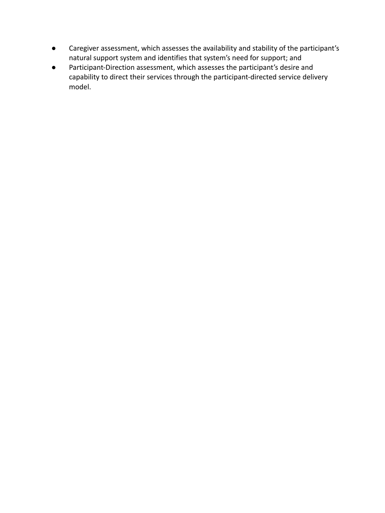- Caregiver assessment, which assesses the availability and stability of the participant's natural support system and identifies that system's need for support; and
- Participant-Direction assessment, which assesses the participant's desire and capability to direct their services through the participant-directed service delivery model.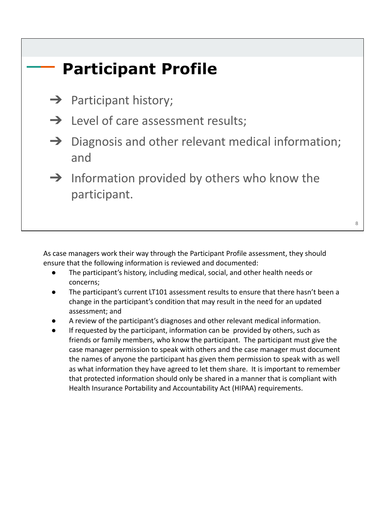### **Participant Profile**

- $\rightarrow$  Participant history;
- **→** Level of care assessment results;
- $\rightarrow$  Diagnosis and other relevant medical information; and
- $\rightarrow$  Information provided by others who know the participant.

As case managers work their way through the Participant Profile assessment, they should ensure that the following information is reviewed and documented:

- The participant's history, including medical, social, and other health needs or concerns;
- The participant's current LT101 assessment results to ensure that there hasn't been a change in the participant's condition that may result in the need for an updated assessment; and
- A review of the participant's diagnoses and other relevant medical information.
- If requested by the participant, information can be provided by others, such as friends or family members, who know the participant. The participant must give the case manager permission to speak with others and the case manager must document the names of anyone the participant has given them permission to speak with as well as what information they have agreed to let them share. It is important to remember that protected information should only be shared in a manner that is compliant with Health Insurance Portability and Accountability Act (HIPAA) requirements.

8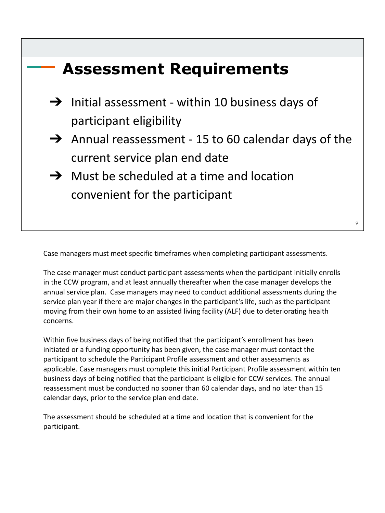

Case managers must meet specific timeframes when completing participant assessments.

The case manager must conduct participant assessments when the participant initially enrolls in the CCW program, and at least annually thereafter when the case manager develops the annual service plan. Case managers may need to conduct additional assessments during the service plan year if there are major changes in the participant's life, such as the participant moving from their own home to an assisted living facility (ALF) due to deteriorating health concerns.

Within five business days of being notified that the participant's enrollment has been initiated or a funding opportunity has been given, the case manager must contact the participant to schedule the Participant Profile assessment and other assessments as applicable. Case managers must complete this initial Participant Profile assessment within ten business days of being notified that the participant is eligible for CCW services. The annual reassessment must be conducted no sooner than 60 calendar days, and no later than 15 calendar days, prior to the service plan end date.

The assessment should be scheduled at a time and location that is convenient for the participant.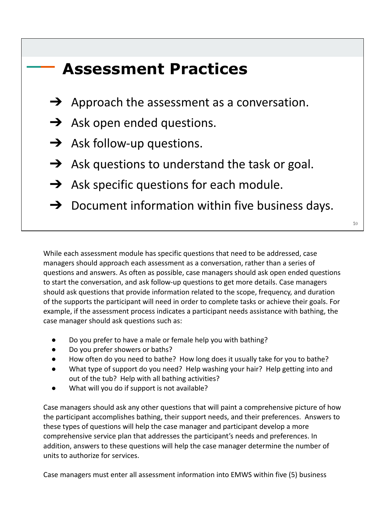#### **Assessment Practices**

- $\rightarrow$  Approach the assessment as a conversation.
- $\rightarrow$  Ask open ended questions.
- $\rightarrow$  Ask follow-up questions.
- $\rightarrow$  Ask questions to understand the task or goal.
- $\rightarrow$  Ask specific questions for each module.
- $\rightarrow$  Document information within five business days.

10

While each assessment module has specific questions that need to be addressed, case managers should approach each assessment as a conversation, rather than a series of questions and answers. As often as possible, case managers should ask open ended questions to start the conversation, and ask follow-up questions to get more details. Case managers should ask questions that provide information related to the scope, frequency, and duration of the supports the participant will need in order to complete tasks or achieve their goals. For example, if the assessment process indicates a participant needs assistance with bathing, the case manager should ask questions such as:

- Do you prefer to have a male or female help you with bathing?
- Do you prefer showers or baths?
- How often do you need to bathe? How long does it usually take for you to bathe?
- What type of support do you need? Help washing your hair? Help getting into and out of the tub? Help with all bathing activities?
- What will you do if support is not available?

Case managers should ask any other questions that will paint a comprehensive picture of how the participant accomplishes bathing, their support needs, and their preferences. Answers to these types of questions will help the case manager and participant develop a more comprehensive service plan that addresses the participant's needs and preferences. In addition, answers to these questions will help the case manager determine the number of units to authorize for services.

Case managers must enter all assessment information into EMWS within five (5) business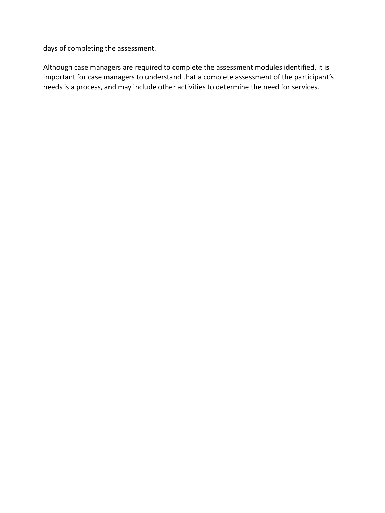days of completing the assessment.

Although case managers are required to complete the assessment modules identified, it is important for case managers to understand that a complete assessment of the participant's needs is a process, and may include other activities to determine the need for services.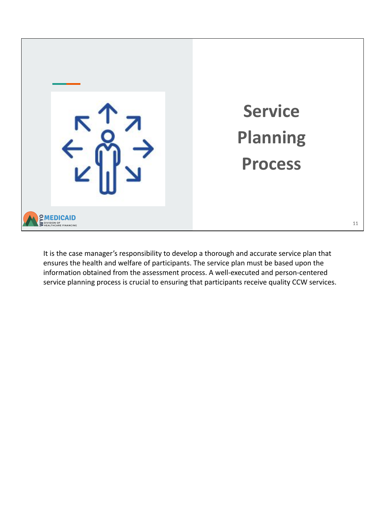

It is the case manager's responsibility to develop a thorough and accurate service plan that ensures the health and welfare of participants. The service plan must be based upon the information obtained from the assessment process. A well-executed and person-centered service planning process is crucial to ensuring that participants receive quality CCW services.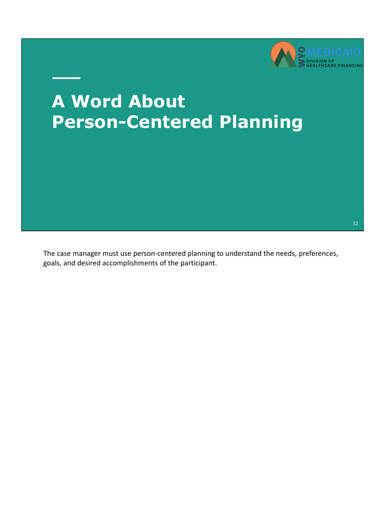

# **A Word About Person-Centered Planning**

The case manager must use person-centered planning to understand the needs, preferences, goals, and desired accomplishments of the participant.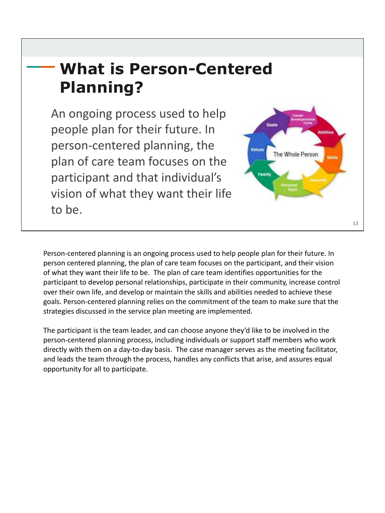### **What is Person-Centered Planning?**

An ongoing process used to help people plan for their future. In person-centered planning, the plan of care team focuses on the participant and that individual's vision of what they want their life to be.



Person-centered planning is an ongoing process used to help people plan for their future. In person centered planning, the plan of care team focuses on the participant, and their vision of what they want their life to be. The plan of care team identifies opportunities for the participant to develop personal relationships, participate in their community, increase control over their own life, and develop or maintain the skills and abilities needed to achieve these goals. Person-centered planning relies on the commitment of the team to make sure that the strategies discussed in the service plan meeting are implemented.

The participant is the team leader, and can choose anyone they'd like to be involved in the person-centered planning process, including individuals or support staff members who work directly with them on a day-to-day basis. The case manager serves as the meeting facilitator, and leads the team through the process, handles any conflicts that arise, and assures equal opportunity for all to participate.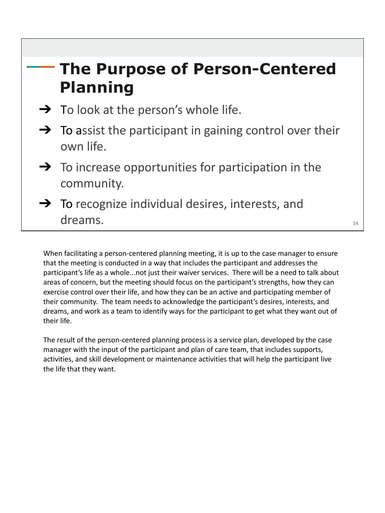#### **The Purpose of Person-Centered Planning**

- $\rightarrow$  To look at the person's whole life.
- $\rightarrow$  To assist the participant in gaining control over their own life.
- $\rightarrow$  To increase opportunities for participation in the community.
- $\rightarrow$  To recognize individual desires, interests, and dreams.

When facilitating a person-centered planning meeting, it is up to the case manager to ensure that the meeting is conducted in a way that includes the participant and addresses the participant's life as a whole...not just their waiver services. There will be a need to talk about areas of concern, but the meeting should focus on the participant's strengths, how they can exercise control over their life, and how they can be an active and participating member of their community. The team needs to acknowledge the participant's desires, interests, and dreams, and work as a team to identify ways for the participant to get what they want out of their life.

The result of the person-centered planning process is a service plan, developed by the case manager with the input of the participant and plan of care team, that includes supports, activities, and skill development or maintenance activities that will help the participant live the life that they want.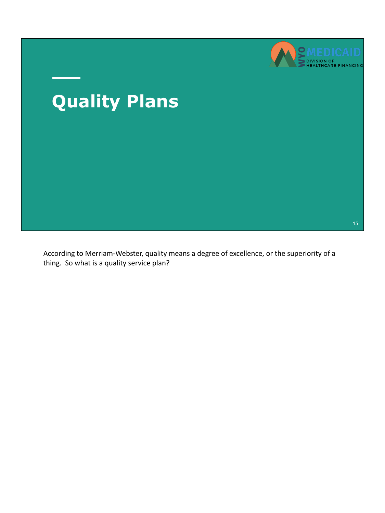



According to Merriam-Webster, quality means a degree of excellence, or the superiority of a thing. So what is a quality service plan?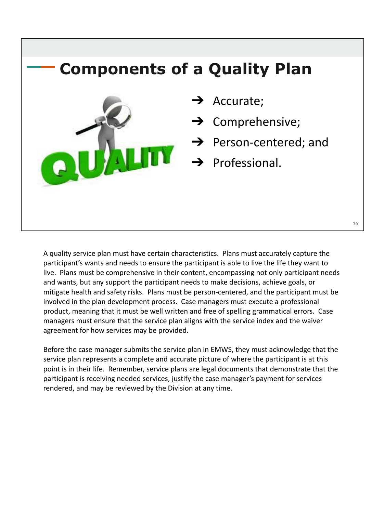

A quality service plan must have certain characteristics. Plans must accurately capture the participant's wants and needs to ensure the participant is able to live the life they want to live. Plans must be comprehensive in their content, encompassing not only participant needs and wants, but any support the participant needs to make decisions, achieve goals, or mitigate health and safety risks. Plans must be person-centered, and the participant must be involved in the plan development process. Case managers must execute a professional product, meaning that it must be well written and free of spelling grammatical errors. Case managers must ensure that the service plan aligns with the service index and the waiver agreement for how services may be provided.

Before the case manager submits the service plan in EMWS, they must acknowledge that the service plan represents a complete and accurate picture of where the participant is at this point is in their life. Remember, service plans are legal documents that demonstrate that the participant is receiving needed services, justify the case manager's payment for services rendered, and may be reviewed by the Division at any time.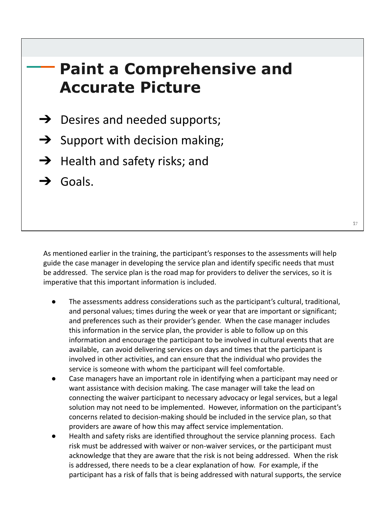#### **Paint a Comprehensive and Accurate Picture**

- $\rightarrow$  Desires and needed supports;
- $\rightarrow$  Support with decision making;
- $\rightarrow$  Health and safety risks; and
- $\rightarrow$  Goals.

As mentioned earlier in the training, the participant's responses to the assessments will help guide the case manager in developing the service plan and identify specific needs that must be addressed. The service plan is the road map for providers to deliver the services, so it is imperative that this important information is included.

- The assessments address considerations such as the participant's cultural, traditional, and personal values; times during the week or year that are important or significant; and preferences such as their provider's gender. When the case manager includes this information in the service plan, the provider is able to follow up on this information and encourage the participant to be involved in cultural events that are available, can avoid delivering services on days and times that the participant is involved in other activities, and can ensure that the individual who provides the service is someone with whom the participant will feel comfortable.
- Case managers have an important role in identifying when a participant may need or want assistance with decision making. The case manager will take the lead on connecting the waiver participant to necessary advocacy or legal services, but a legal solution may not need to be implemented. However, information on the participant's concerns related to decision-making should be included in the service plan, so that providers are aware of how this may affect service implementation.
- Health and safety risks are identified throughout the service planning process. Each risk must be addressed with waiver or non-waiver services, or the participant must acknowledge that they are aware that the risk is not being addressed. When the risk is addressed, there needs to be a clear explanation of how. For example, if the participant has a risk of falls that is being addressed with natural supports, the service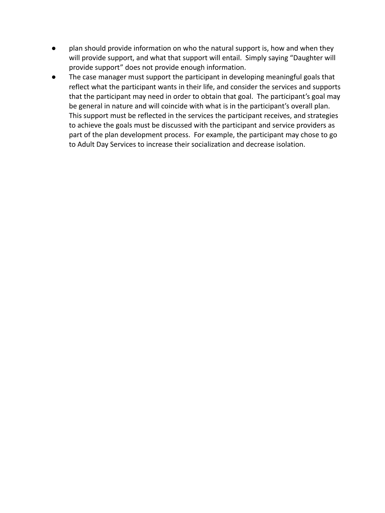- plan should provide information on who the natural support is, how and when they will provide support, and what that support will entail. Simply saying "Daughter will provide support" does not provide enough information.
- The case manager must support the participant in developing meaningful goals that reflect what the participant wants in their life, and consider the services and supports that the participant may need in order to obtain that goal. The participant's goal may be general in nature and will coincide with what is in the participant's overall plan. This support must be reflected in the services the participant receives, and strategies to achieve the goals must be discussed with the participant and service providers as part of the plan development process. For example, the participant may chose to go to Adult Day Services to increase their socialization and decrease isolation.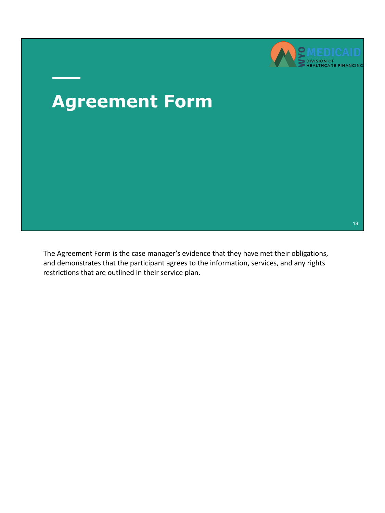

# **Agreement Form**

The Agreement Form is the case manager's evidence that they have met their obligations, and demonstrates that the participant agrees to the information, services, and any rights restrictions that are outlined in their service plan.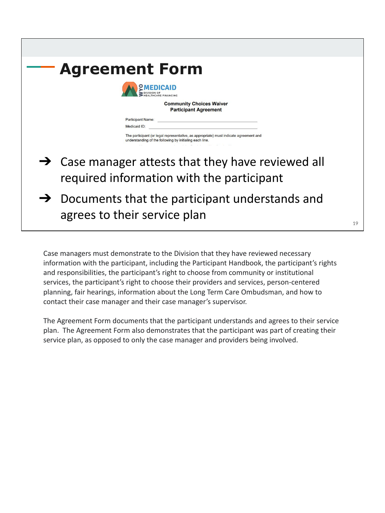

Case managers must demonstrate to the Division that they have reviewed necessary information with the participant, including the Participant Handbook, the participant's rights and responsibilities, the participant's right to choose from community or institutional services, the participant's right to choose their providers and services, person-centered planning, fair hearings, information about the Long Term Care Ombudsman, and how to contact their case manager and their case manager's supervisor.

The Agreement Form documents that the participant understands and agrees to their service plan. The Agreement Form also demonstrates that the participant was part of creating their service plan, as opposed to only the case manager and providers being involved.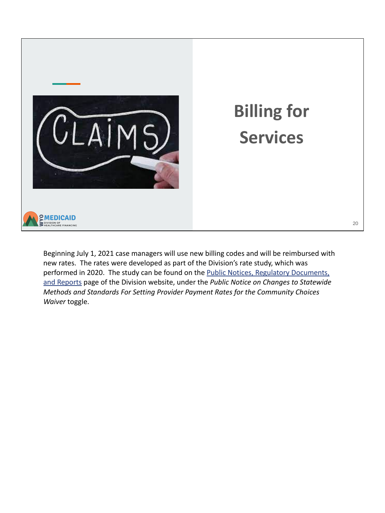

Beginning July 1, 2021 case managers will use new billing codes and will be reimbursed with new rates. The rates were developed as part of the Division's rate study, which was performed in 2020. The study can be found on the [Public Notices, Regulatory Documents,](https://health.wyo.gov/healthcarefin/hcbs/hcbs-public-notices/) [and Reports](https://health.wyo.gov/healthcarefin/hcbs/hcbs-public-notices/) page of the Division website, under the *Public Notice on Changes to Statewide Methods and Standards For Setting Provider Payment Rates for the Community Choices Waiver* toggle.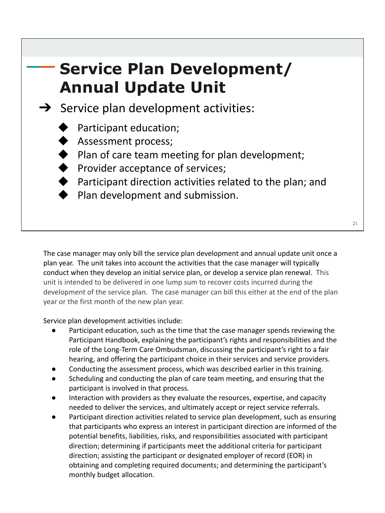

The case manager may only bill the service plan development and annual update unit once a plan year. The unit takes into account the activities that the case manager will typically conduct when they develop an initial service plan, or develop a service plan renewal. This unit is intended to be delivered in one lump sum to recover costs incurred during the development of the service plan. The case manager can bill this either at the end of the plan year or the first month of the new plan year.

Service plan development activities include:

- Participant education, such as the time that the case manager spends reviewing the Participant Handbook, explaining the participant's rights and responsibilities and the role of the Long-Term Care Ombudsman, discussing the participant's right to a fair hearing, and offering the participant choice in their services and service providers.
- Conducting the assessment process, which was described earlier in this training.
- Scheduling and conducting the plan of care team meeting, and ensuring that the participant is involved in that process.
- Interaction with providers as they evaluate the resources, expertise, and capacity needed to deliver the services, and ultimately accept or reject service referrals.
- Participant direction activities related to service plan development, such as ensuring that participants who express an interest in participant direction are informed of the potential benefits, liabilities, risks, and responsibilities associated with participant direction; determining if participants meet the additional criteria for participant direction; assisting the participant or designated employer of record (EOR) in obtaining and completing required documents; and determining the participant's monthly budget allocation.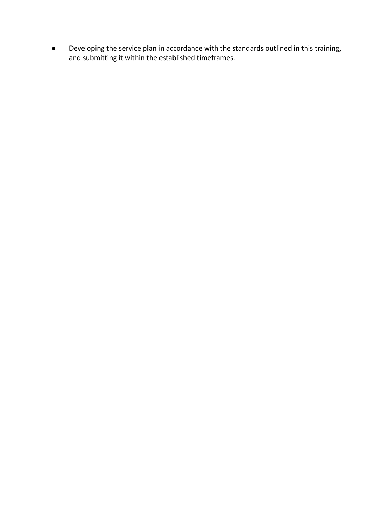● Developing the service plan in accordance with the standards outlined in this training, and submitting it within the established timeframes.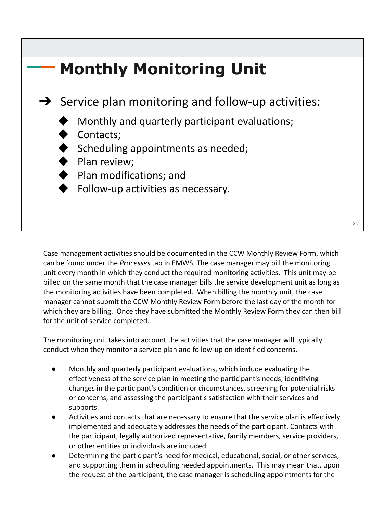

Case management activities should be documented in the CCW Monthly Review Form, which can be found under the *Processes* tab in EMWS. The case manager may bill the monitoring unit every month in which they conduct the required monitoring activities. This unit may be billed on the same month that the case manager bills the service development unit as long as the monitoring activities have been completed. When billing the monthly unit, the case manager cannot submit the CCW Monthly Review Form before the last day of the month for which they are billing. Once they have submitted the Monthly Review Form they can then bill for the unit of service completed.

The monitoring unit takes into account the activities that the case manager will typically conduct when they monitor a service plan and follow-up on identified concerns.

- Monthly and quarterly participant evaluations, which include evaluating the effectiveness of the service plan in meeting the participant's needs, identifying changes in the participant's condition or circumstances, screening for potential risks or concerns, and assessing the participant's satisfaction with their services and supports.
- Activities and contacts that are necessary to ensure that the service plan is effectively implemented and adequately addresses the needs of the participant. Contacts with the participant, legally authorized representative, family members, service providers, or other entities or individuals are included.
- Determining the participant's need for medical, educational, social, or other services, and supporting them in scheduling needed appointments. This may mean that, upon the request of the participant, the case manager is scheduling appointments for the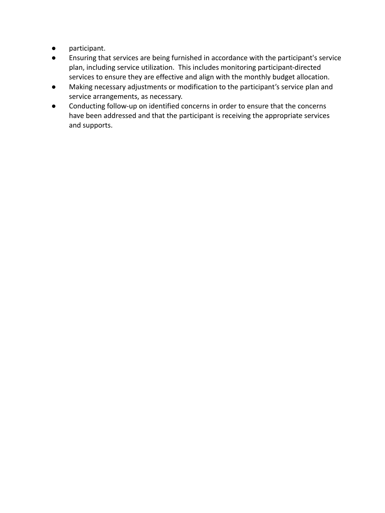- participant.
- Ensuring that services are being furnished in accordance with the participant's service plan, including service utilization. This includes monitoring participant-directed services to ensure they are effective and align with the monthly budget allocation.
- Making necessary adjustments or modification to the participant's service plan and service arrangements, as necessary.
- Conducting follow-up on identified concerns in order to ensure that the concerns have been addressed and that the participant is receiving the appropriate services and supports.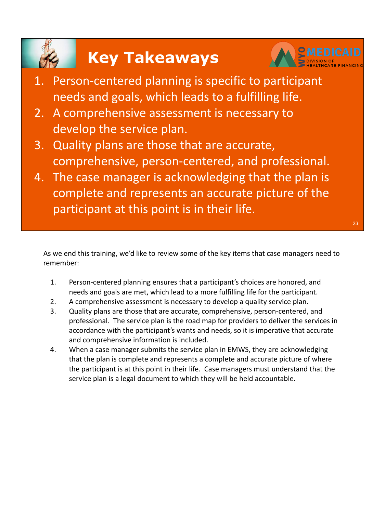# **Key Takeaways**



- 1. Person-centered planning is specific to participant needs and goals, which leads to a fulfilling life.
- 2. A comprehensive assessment is necessary to develop the service plan.
- 3. Quality plans are those that are accurate, comprehensive, person-centered, and professional.
- 4. The case manager is acknowledging that the plan is complete and represents an accurate picture of the participant at this point is in their life.

As we end this training, we'd like to review some of the key items that case managers need to remember:

- 1. Person-centered planning ensures that a participant's choices are honored, and needs and goals are met, which lead to a more fulfilling life for the participant.
- 2. A comprehensive assessment is necessary to develop a quality service plan.
- 3. Quality plans are those that are accurate, comprehensive, person-centered, and professional. The service plan is the road map for providers to deliver the services in accordance with the participant's wants and needs, so it is imperative that accurate and comprehensive information is included.
- 4. When a case manager submits the service plan in EMWS, they are acknowledging that the plan is complete and represents a complete and accurate picture of where the participant is at this point in their life. Case managers must understand that the service plan is a legal document to which they will be held accountable.